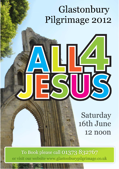# Glastonbury Pilgrimage 2012

## Saturday 16th June 12 noon

To Book please call 01373 832767 or visit our website www.glastonburypilgrimage.co.uk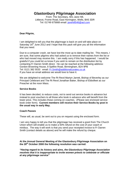## **Glastonbury Pilgrimage Association**

From: The Secretary, Mrs Jane Hill, Littlecot, Frome Road, East Horrington, Wells, BA5 3DR Tel: 01749 675668 email: janehill546@aol.com

## **Dear Pilgrim,**

I am delighted to tell you that the pilgrimage is back on and will take place on Saturday 16<sup>th</sup> June 2012 and I hope that this pack will give you all the information that you need.

Due to a computer crash, we have lost the most up to date mailing list. This means, I am sure, that some pilgrims who had asked us to remove their names from the list or who had moved may receive this. I am really sorry if this has happened. I would be grateful if you could let us know if you wish to remain on the distribution list by contacting Fr Darren Smith direct. He can be reached at the following address: Gordon Browning House, 8 Spitfire Road, Birmingham, B24 9PB Tel: 0121 382 5533 email: Fr.Smith@additionalcurates.co.uk If you have an email address we would love to have it.

We are delighted to welcome The Rt Revd Martyn Jarrett, Bishop of Beverley as our Principal Celebrant and The Rt Revd Jonathan Baker, Bishop of Ebbsfleet as our Preacher at the noon Mass.

## **Service Books**

It has been decided, to reduce costs, not to send out service books in advance but instead to post vouchers to all those who book in advance who will benefit from the lower price. This includes those coming on coaches. (Please see enclosed service book order form). **Current members will receive their Service Books by post in the usual way in early May.**

## **Coach Passes**

These will, as usual, be sent out to you on request using the enclosed form.

I am very happy to tell you that the pilgrimage has received a grant from The Church Union which will enable us to make a 50% refund on the cost of your coach or minibus. The way it will work is that you send your receipted invoice to Fr Darren Smith (contact details as above) and he will make the refund by cheque.

## **At the Annual General Meeting of the Glastonbury Pilgrimage Association on the 28th October 2000 the following resolution was carried:**

*"Having regard to its history and aims, the Glastonbury Pilgrimage Association resolves that it is inappropriate to invite women priests to celebrate or officiate at any pilgrimage service"*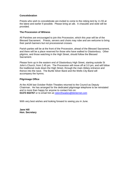## **Concelebration**

Priests who wish to concelebrate are invited to come to the robing tent by 11.55 at the latest and earlier if possible. Please bring an alb. A chasuble and stole will be provided.

## **The Procession of Witness**

All Parishes are encouraged to join this Procession, which this year will be of the Blessed Sacrament. Priests, servers and choirs may robe and are welcome to bring their parish banners but not processional crosses.

Parish parties will be at the front of the Procession, ahead of the Blessed Sacrament, and there will be a place reserved for those who have walked to Glastonbury. Other pilgrims, and those watching in the High Street, should follow the Blessed Sacrament.

Please form up in the eastern end of Glastonbury High Street, starting outside St John's Church, from 2.45 pm. The Procession will move off at 3.0 pm, and will follow the traditional route down the High Street, through the main Abbey entrance and thence into the nave. The Burtle Silver Band and the Wells City Band will accompany the hymns.

## **Pilgrimage Office**

At the AGM last October Robin Thwaites returned to the Council as Deputy Chairman. He has arranged for the dedicated pilgrimage telephone to be reinstated and is more than happy for anyone to contact him on: **01373 832767** or to email him at robinrthwaites@btinternet.com

With very best wishes and looking forward to seeing you in June.

**Jane Hill Hon. Secretary**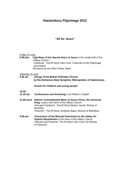## **Glastonbury Pilgrimage 2012**

## *"All for Jesus"*

#### Friday 15 June

**6.00 pm: Vigil Mass of the Sacred Heart of Jesus** in the Undercroft of the Abbey Church Celebrant: The Rt Revd John Ford, *Chairman of the Pilgrimage Association. (Entrance by the Silver Street Gate)* 

#### Saturday 16 June

**9.45 am Liturgy of the British Orthodox Church by His Eminence Abba Seraphim, Metropolitan of Glastonbury .** 

#### **Events for Children and young people**

- **10.30 –**
- **11.30 am Confessions and Anointing** *in St Patrick's Chapel*
- **12.00 noon Solemn Concelebrated Mass of Jesus Christ, the Universal King,** *sung in the Nave of the Abbey Church. Principal Celebrant:* The Rt Revd Martyn Jarrett, Bishop of Beverley. *Preacher:* The Rt Revd Jonathan Baker, Bishop of Ebbsfleet
- **3.00 pm Procession of the Blessed Sacrament to the Abbey for Solemn Benediction** *in the Nave of the Abbey Church Officiant and Preacher:* The Rt Revd John Ford, the Bishop of Plymouth.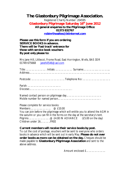## **The Glastonbury Pilgrimage Association.** Registered Charity Number: 204595 **Glastonbury Pilgrimage Saturday 16th June 2012 All general enquiries to the Pilgrimage Office: 01373 832767 robinrthwaites@btinternet.com**

**Please use this form if you are ordering SERVICE BOOKS in advance. There will be 'Fast track' entrance for those with service book vouchers By post only please to:**

Mrs Jane Hill, Littlecot, Frome Road, East Horrington, Wells, BA5 3DR 01749 675668 janehill546@aol.com

|--|--|--|

Parish: ………………………….….. Diocese:……………………………………….

Named contact person on pilgrimage day……………………………….. Mobile number for named person……………………………………….

Please complete for service books:

Members ……….………… @ £10.00 You can join before the pilgrimage which will entitle you to attend the AGM in the autumn or you can fill in the forms on the day at the secretary's tent. Pilgrims  $\ldots$   $\ldots$   $\ldots$   $\ldots$   $\ldots$   $\ldots$   $\ldots$   $\ldots$   $\ldots$   $\ldots$   $\ldots$   $\ldots$   $\ldots$   $\ldots$   $\ldots$   $\ldots$   $\ldots$   $\ldots$   $\ldots$   $\ldots$   $\ldots$   $\ldots$   $\ldots$   $\ldots$   $\ldots$   $\ldots$   $\ldots$   $\ldots$   $\ldots$   $\ldots$   $\ldots$   $\ldots$   $\ldots$   $\ldots$   $\ldots$   $\$ Children under 16………..FREE

**Current members will receive their service books by post.** To cut the cost of postage, vouchers will be sent to everyone who orders books in advance which will be sent out in early May. **Please do not over order books as more can be obtained on the day.** Cheques should be made payable to **Glastonbury Pilgrimage Association** and sent to the above address.

Amount enclosed £…………………